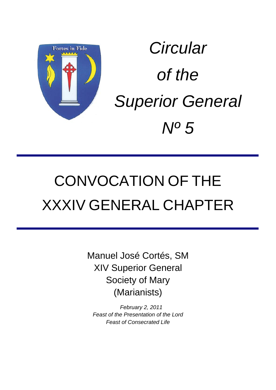

*Circular of the Superior General Nº 5*

## CONVOCATION OF THE XXXIV GENERAL CHAPTER

Manuel José Cortés, SM XIV Superior General Society of Mary (Marianists)

*February 2, 2011 Feast of the Presentation of the Lord Feast of Consecrated Life*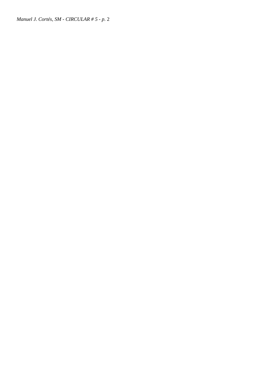*Manuel J. Cortés, SM - CIRCULAR # 5 - p.* 2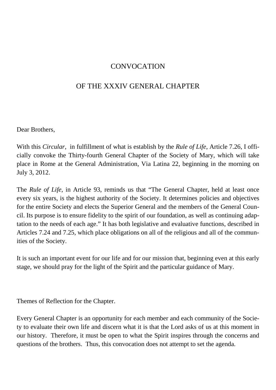## **CONVOCATION**

## OF THE XXXIV GENERAL CHAPTER

Dear Brothers,

With this *Circular,* in fulfillment of what is establish by the *Rule of Life*, Article 7.26, I officially convoke the Thirty-fourth General Chapter of the Society of Mary, which will take place in Rome at the General Administration, Via Latina 22, beginning in the morning on July 3, 2012.

The *Rule of Life*, in Article 93, reminds us that "The General Chapter, held at least once every six years, is the highest authority of the Society. It determines policies and objectives for the entire Society and elects the Superior General and the members of the General Council. Its purpose is to ensure fidelity to the spirit of our foundation, as well as continuing adaptation to the needs of each age." It has both legislative and evaluative functions, described in Articles 7.24 and 7.25, which place obligations on all of the religious and all of the communities of the Society.

It is such an important event for our life and for our mission that, beginning even at this early stage, we should pray for the light of the Spirit and the particular guidance of Mary.

Themes of Reflection for the Chapter.

Every General Chapter is an opportunity for each member and each community of the Society to evaluate their own life and discern what it is that the Lord asks of us at this moment in our history. Therefore, it must be open to what the Spirit inspires through the concerns and questions of the brothers. Thus, this convocation does not attempt to set the agenda.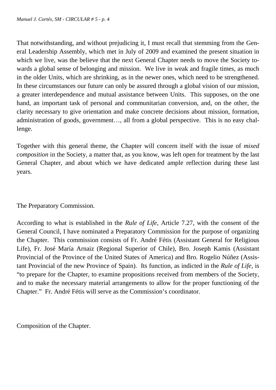That notwithstanding, and without prejudicing it, I must recall that stemming from the General Leadership Assembly, which met in July of 2009 and examined the present situation in which we live, was the believe that the next General Chapter needs to move the Society towards a global sense of belonging and mission. We live in weak and fragile times, as much in the older Units, which are shrinking, as in the newer ones, which need to be strengthened. In these circumstances our future can only be assured through a global vision of our mission, a greater interdependence and mutual assistance between Units. This supposes, on the one hand, an important task of personal and communitarian conversion, and, on the other, the clarity necessary to give orientation and make concrete decisions about mission, formation, administration of goods, government…, all from a global perspective. This is no easy challenge.

Together with this general theme, the Chapter will concern itself with the issue of *mixed composition* in the Society, a matter that, as you know, was left open for treatment by the last General Chapter, and about which we have dedicated ample reflection during these last years.

The Preparatory Commission.

According to what is established in the *Rule of Life*, Article 7.27, with the consent of the General Council, I have nominated a Preparatory Commission for the purpose of organizing the Chapter. This commission consists of Fr. André Fétis (Assistant General for Religious Life), Fr. José María Arnaiz (Regional Superior of Chile), Bro. Joseph Kamis (Assistant Provincial of the Province of the United States of America) and Bro. Rogelio Núñez (Assistant Provincial of the new Province of Spain). Its function, as indicted in the *Rule of Life,* is "to prepare for the Chapter, to examine propositions received from members of the Society, and to make the necessary material arrangements to allow for the proper functioning of the Chapter." Fr. André Fétis will serve as the Commission's coordinator.

Composition of the Chapter.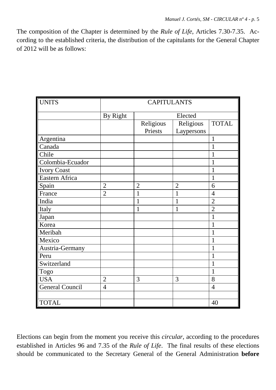The composition of the Chapter is determined by the *Rule of Life*, Articles 7.30-7.35. According to the established criteria, the distribution of the capitulants for the General Chapter of 2012 will be as follows:

| <b>UNITS</b>           | <b>CAPITULANTS</b> |                |                |                |
|------------------------|--------------------|----------------|----------------|----------------|
|                        | By Right           | Elected        |                |                |
|                        |                    | Religious      | Religious      | <b>TOTAL</b>   |
|                        |                    | Priests        | Laypersons     |                |
| Argentina              |                    |                |                | $\mathbf{1}$   |
| Canada                 |                    |                |                | 1              |
| Chile                  |                    |                |                | 1              |
| Colombia-Ecuador       |                    |                |                | 1              |
| <b>Ivory Coast</b>     |                    |                |                | 1              |
| Eastern Africa         |                    |                |                | 1              |
| Spain                  | $\overline{2}$     | $\overline{2}$ | $\overline{2}$ | 6              |
| France                 | $\overline{2}$     | 1              | 1              | $\overline{4}$ |
| India                  |                    | 1              | 1              | $\overline{2}$ |
| Italy                  |                    | 1              | 1              | $\overline{2}$ |
| Japan                  |                    |                |                | 1              |
| Korea                  |                    |                |                | 1              |
| Meribah                |                    |                |                | 1              |
| Mexico                 |                    |                |                | 1              |
| Austria-Germany        |                    |                |                | 1              |
| Peru                   |                    |                |                | 1              |
| Switzerland            |                    |                |                | 1              |
| Togo                   |                    |                |                | 1              |
| <b>USA</b>             | $\overline{2}$     | 3              | 3              | 8              |
| <b>General Council</b> | $\overline{4}$     |                |                | $\overline{4}$ |
|                        |                    |                |                |                |
| <b>TOTAL</b>           |                    |                |                | 40             |

Elections can begin from the moment you receive this *circular*, according to the procedures established in Articles 96 and 7.35 of the *Rule of Life*. The final results of these elections should be communicated to the Secretary General of the General Administration **before**